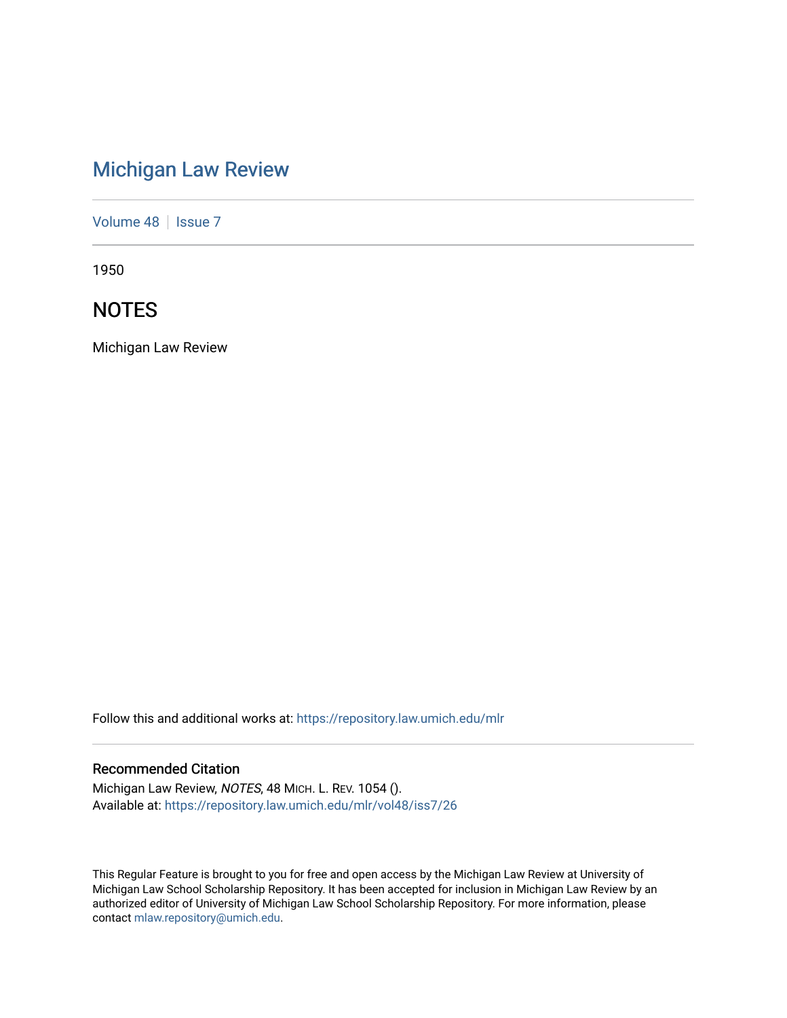# [Michigan Law Review](https://repository.law.umich.edu/mlr)

[Volume 48](https://repository.law.umich.edu/mlr/vol48) | [Issue 7](https://repository.law.umich.edu/mlr/vol48/iss7)

1950

# **NOTES**

Michigan Law Review

Follow this and additional works at: [https://repository.law.umich.edu/mlr](https://repository.law.umich.edu/mlr?utm_source=repository.law.umich.edu%2Fmlr%2Fvol48%2Fiss7%2F26&utm_medium=PDF&utm_campaign=PDFCoverPages) 

# Recommended Citation

Michigan Law Review, NOTES, 48 MICH. L. REV. 1054 (). Available at: [https://repository.law.umich.edu/mlr/vol48/iss7/26](https://repository.law.umich.edu/mlr/vol48/iss7/26?utm_source=repository.law.umich.edu%2Fmlr%2Fvol48%2Fiss7%2F26&utm_medium=PDF&utm_campaign=PDFCoverPages) 

This Regular Feature is brought to you for free and open access by the Michigan Law Review at University of Michigan Law School Scholarship Repository. It has been accepted for inclusion in Michigan Law Review by an authorized editor of University of Michigan Law School Scholarship Repository. For more information, please contact [mlaw.repository@umich.edu](mailto:mlaw.repository@umich.edu).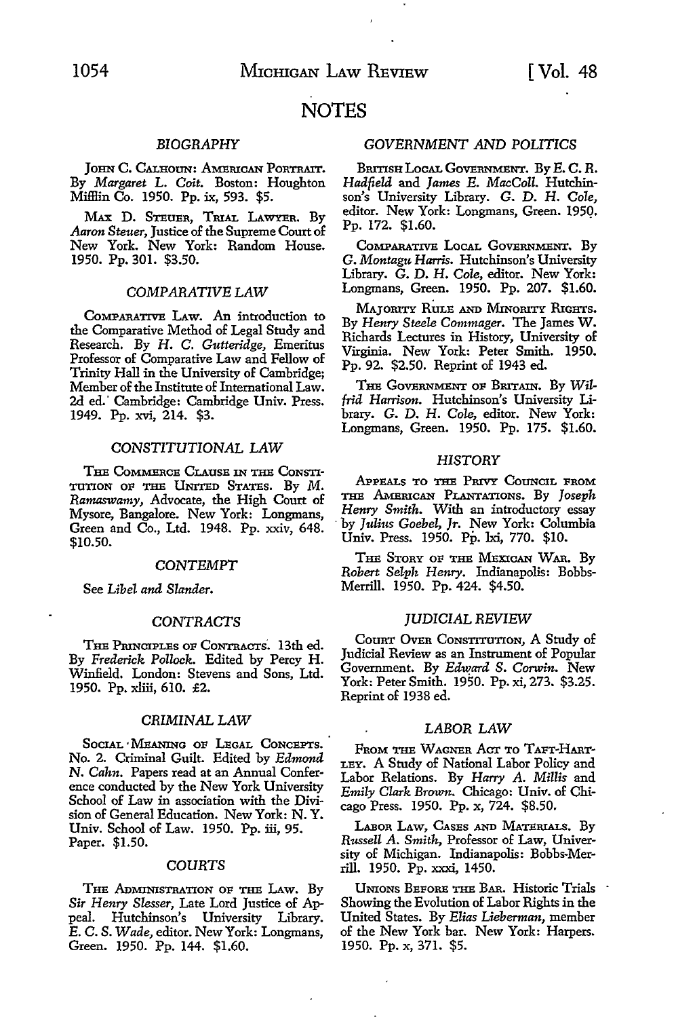# **NOTES**

# *BIOGRAPHY*

JOHN C. CALHOUN: AMERICAN PORTRAIT. By *Margaret* L. *Coit.* Boston: Houghton Miffiin Co. 1950. Pp. ix, 593. \$5.

MAX D. STEUER, TRIAL LAWYER. By *Aaron Steuer,* Justice of the Supreme Court of New York. New York: Random House. 1950. Pp. 301. \$3.50.

## *COMPARATIVE* LAW

CoMPARATIVE LAw. An introduction to the Comparative Method of Legal Study and Research. By H. C. *Gutteridge,* Emeritus Professor of Comparative Law and Fellow of Trinity Hall in the University of Cambridge; Member of the Institute of International Law. 2d ed." Cambridge: Cambridge Univ. Press. 1949. Pp. xvi, 214. \$3.

# *CONSTITUTIONAL* LAW

THE COMMERCE CLAUSE IN THE CONSTI-TUTION OF THE UNITED STATES. By M. *Ramaswamy,* Advocate, the High Court of Mysore, Bangalore. New York: Longmans, Green and Co., Ltd. 1948. Pp. xxiv, 648. \$10.50.

# *CONTEMPT*

See *Libel and Slander.* 

## *CONTRACTS*

THE PruNCIPLEs oF CoNTRACTs·. 13th ed. By *Frederick Pollock.* Edited by Percy H. Winfield. London: Stevens and Sons, Ltd. 1950. Pp. xliii, 610. £2.

#### *CRIMINAL* LAW

SOCIAL 'MEANING OF LEGAL CONCEPTS. No. 2. Criminal Guilt. Edited by *Edmond*  N. *Cahn.* Papers read at an Annual Conference conducted by the New York University School of Law in association with the Division of General Education. New York: N. Y. Univ. School of Law. 1950. Pp. iii, 95. Paper. \$1.50.

#### *COURTS*

THE ADMINISTRATION OF THE LAw. By *Sir Henry Slesser,* Late Lord Justice of Appeal. Hutchinson's University Library. *E.* C. S. *Wade,* editor. New York: Longmans, Green. 1950. Pp. 144. \$1.60.

# *GOVERNMENT AND* POLITICS

BRITISH LOCAL GOVERNMENT. By E.C.R. *Hadfield* and *James E. MacColl.* Hutchinson's University Library. G. D. H. *Cole,*  editor. New York: Longmans, Green. 1950. Pp. 172. \$1.60.

COMPARATIVE LOCAL GOVERNMENT. By G. *Montagu Harris.* Hutchinson's University Library. G. D. H. *Cole,* editor. New York: Longmans, Green. 1950. Pp. 207. \$1.60.

MAJORITY RULE AND MINORITY RIGHTS. By *Henry Steele Commager.* The James W. Richards Lectures in History, University of Virginia. New York: Peter Smith. 1950. Pp. 92. \$2.50. Reprint of 1943 ed.

THE GOVERNMENT OF BRITAIN. By Wil*frid Harrison.* Hutchinson's University Library. G. D. H. *Cole,* editor. New York: Longmans, Green. 1950. Pp. 175. \$1.60.

#### *HISTORY*

APPEALS TO THE PRIVY CoUNCIL FROM THE &"\mrucAN PLANTATIONS. By *Joseph Henry Smith.* With an introductory essay · by *Julius Goebel, Jr.* New York: Columbia Univ. Press. 1950. Pp. lxi, 770. \$10.

THE STORY OF THE MEXICAN WAR. By *Robert Selph Henry.* Indianapolis: Bobbs-Merrill. 1950. Pp. 424. \$4.50.

#### *JUDICIAL REVIEW*

CouRT OVER CONSTITUTION, A Study of Judicial Review as an Instrument of Popular Government. By *Edw\_ard S. Corwin.* New York: Peter Smith. 1950. Pp. xi, 273. \$3.25. Reprint of 1938 ed.

#### LABOR LAW

FROM THE WAGNER ACT TO TAFT-HART-LEY. A Study of National Labor Policy and Labor Relations. By *Harry* A. *Millis* and *Emily Clark Brown.* Chicago: Univ. of Chicago Press. 1950. Pp. x, 724. \$8.50.

LABOR LAw, CAsEs AND MATERIALS. By *Russell A. Smith,* Professor of Law, University of Michigan. Indianapolis: Bobbs-Merrill. 1950. Pp. xxxi, 1450.

UNIONS BEFORE THE BAR. Historic Trials Showing the Evolution of Labor Rights in the United States. By *Elias Lieberman,* member of the New York bar. New York: Harpers. 1950. Pp. x, 371. \$5.